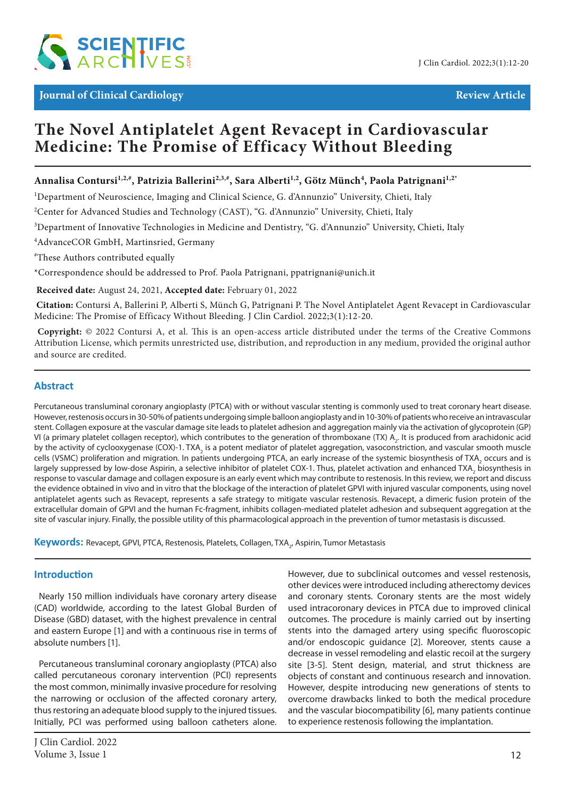

# **The Novel Antiplatelet Agent Revacept in Cardiovascular Medicine: The Promise of Efficacy Without Bleeding**

# **Annalisa Contursi1,2,#, Patrizia Ballerini2,3,#, Sara Alberti1,2, Götz Münch4 , Paola Patrignani1,2\***

<sup>1</sup>Department of Neuroscience, Imaging and Clinical Science, G. d'Annunzio" University, Chieti, Italy

<sup>2</sup>Center for Advanced Studies and Technology (CAST), "G. d'Annunzio" University, Chieti, Italy

3 Department of Innovative Technologies in Medicine and Dentistry, "G. d'Annunzio" University, Chieti, Italy

4 AdvanceCOR GmbH, Martinsried, Germany

# These Authors contributed equally

\*Correspondence should be addressed to Prof. Paola Patrignani, ppatrignani@unich.it

 **Received date:** August 24, 2021, **Accepted date:** February 01, 2022

**Citation:** Contursi A, Ballerini P, Alberti S, Münch G, Patrignani P. The Novel Antiplatelet Agent Revacept in Cardiovascular Medicine: The Promise of Efficacy Without Bleeding. J Clin Cardiol. 2022;3(1):12-20.

 **Copyright:** © 2022 Contursi A, et al. This is an open-access article distributed under the terms of the Creative Commons Attribution License, which permits unrestricted use, distribution, and reproduction in any medium, provided the original author and source are credited.

## **Abstract**

Percutaneous transluminal coronary angioplasty (PTCA) with or without vascular stenting is commonly used to treat coronary heart disease. However, restenosis occurs in 30-50% of patients undergoing simple balloon angioplasty and in 10-30% of patients who receive an intravascular stent. Collagen exposure at the vascular damage site leads to platelet adhesion and aggregation mainly via the activation of glycoprotein (GP) VI (a primary platelet collagen receptor), which contributes to the generation of thromboxane (TX)  $A_2$ . It is produced from arachidonic acid by the activity of cyclooxygenase (COX)-1. TXA<sub>2</sub> is a potent mediator of platelet aggregation, vasoconstriction, and vascular smooth muscle cells (VSMC) proliferation and migration. In patients undergoing PTCA, an early increase of the systemic biosynthesis of TXA<sub>2</sub> occurs and is largely suppressed by low-dose Aspirin, a selective inhibitor of platelet COX-1. Thus, platelet activation and enhanced TXA<sub>2</sub> biosynthesis in response to vascular damage and collagen exposure is an early event which may contribute to restenosis. In this review, we report and discuss the evidence obtained in vivo and in vitro that the blockage of the interaction of platelet GPVI with injured vascular components, using novel antiplatelet agents such as Revacept, represents a safe strategy to mitigate vascular restenosis. Revacept, a dimeric fusion protein of the extracellular domain of GPVI and the human Fc-fragment, inhibits collagen-mediated platelet adhesion and subsequent aggregation at the site of vascular injury. Finally, the possible utility of this pharmacological approach in the prevention of tumor metastasis is discussed.

**Keywords:** Revacept, GPVI, PTCA, Restenosis, Platelets, Collagen, TXA2 , Aspirin, Tumor Metastasis

#### **Introduction**

Nearly 150 million individuals have coronary artery disease (CAD) worldwide, according to the latest Global Burden of Disease (GBD) dataset, with the highest prevalence in central and eastern Europe [1] and with a continuous rise in terms of absolute numbers [1].

Percutaneous transluminal coronary angioplasty (PTCA) also called percutaneous coronary intervention (PCI) represents the most common, minimally invasive procedure for resolving the narrowing or occlusion of the affected coronary artery, thus restoring an adequate blood supply to the injured tissues. Initially, PCI was performed using balloon catheters alone. However, due to subclinical outcomes and vessel restenosis, other devices were introduced including atherectomy devices and coronary stents. Coronary stents are the most widely used intracoronary devices in PTCA due to improved clinical outcomes. The procedure is mainly carried out by inserting stents into the damaged artery using specific fluoroscopic and/or endoscopic guidance [2]. Moreover, stents cause a decrease in vessel remodeling and elastic recoil at the surgery site [3-5]. Stent design, material, and strut thickness are objects of constant and continuous research and innovation. However, despite introducing new generations of stents to overcome drawbacks linked to both the medical procedure and the vascular biocompatibility [6], many patients continue to experience restenosis following the implantation.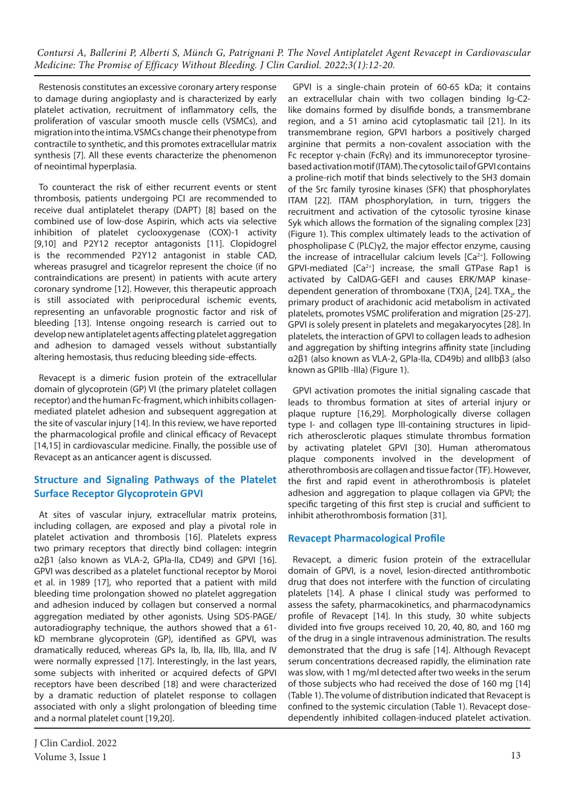Restenosis constitutes an excessive coronary artery response to damage during angioplasty and is characterized by early platelet activation, recruitment of inflammatory cells, the proliferation of vascular smooth muscle cells (VSMCs), and migration into the intima. VSMCs change their phenotype from contractile to synthetic, and this promotes extracellular matrix synthesis [7]. All these events characterize the phenomenon of neointimal hyperplasia.

To counteract the risk of either recurrent events or stent thrombosis, patients undergoing PCI are recommended to receive dual antiplatelet therapy (DAPT) [8] based on the combined use of low-dose Aspirin, which acts via selective inhibition of platelet cyclooxygenase (COX)-1 activity [9,10] and P2Y12 receptor antagonists [11]. Clopidogrel is the recommended P2Y12 antagonist in stable CAD, whereas prasugrel and ticagrelor represent the choice (if no contraindications are present) in patients with acute artery coronary syndrome [12]. However, this therapeutic approach is still associated with periprocedural ischemic events, representing an unfavorable prognostic factor and risk of bleeding [13]. Intense ongoing research is carried out to develop new antiplatelet agents affecting platelet aggregation and adhesion to damaged vessels without substantially altering hemostasis, thus reducing bleeding side-effects.

Revacept is a dimeric fusion protein of the extracellular domain of glycoprotein (GP) VI (the primary platelet collagen receptor) and the human Fc-fragment, which inhibits collagenmediated platelet adhesion and subsequent aggregation at the site of vascular injury [14]. In this review, we have reported the pharmacological profile and clinical efficacy of Revacept [14,15] in cardiovascular medicine. Finally, the possible use of Revacept as an anticancer agent is discussed.

# **Structure and Signaling Pathways of the Platelet Surface Receptor Glycoprotein GPVI**

At sites of vascular injury, extracellular matrix proteins, including collagen, are exposed and play a pivotal role in platelet activation and thrombosis [16]. Platelets express two primary receptors that directly bind collagen: integrin α2β1 (also known as VLA-2, GPIa-IIa, CD49) and GPVI [16]. GPVI was described as a platelet functional receptor by Moroi et al. in 1989 [17], who reported that a patient with mild bleeding time prolongation showed no platelet aggregation and adhesion induced by collagen but conserved a normal aggregation mediated by other agonists. Using SDS-PAGE/ autoradiography technique, the authors showed that a 61 kD membrane glycoprotein (GP), identified as GPVI, was dramatically reduced, whereas GPs Ia, Ib, Ila, IIb, IIIa, and IV were normally expressed [17]. Interestingly, in the last years, some subjects with inherited or acquired defects of GPVI receptors have been described [18] and were characterized by a dramatic reduction of platelet response to collagen associated with only a slight prolongation of bleeding time and a normal platelet count [19,20].

J Clin Cardiol. 2022 Volume 3, Issue 1  $13$ 

GPVI is a single-chain protein of 60-65 kDa; it contains an extracellular chain with two collagen binding Ig-C2 like domains formed by disulfide bonds, a transmembrane region, and a 51 amino acid cytoplasmatic tail [21]. In its transmembrane region, GPVI harbors a positively charged arginine that permits a non-covalent association with the Fc receptor γ-chain (FcRγ) and its immunoreceptor tyrosinebased activation motif (ITAM). The cytosolic tail of GPVI contains a proline-rich motif that binds selectively to the SH3 domain of the Src family tyrosine kinases (SFK) that phosphorylates ITAM [22]. ITAM phosphorylation, in turn, triggers the recruitment and activation of the cytosolic tyrosine kinase Syk which allows the formation of the signaling complex [23] (Figure 1). This complex ultimately leads to the activation of phospholipase C (PLC)γ2, the major effector enzyme, causing the increase of intracellular calcium levels  $[Ca<sup>2+</sup>]$ . Following GPVI-mediated [Ca2+] increase, the small GTPase Rap1 is activated by CalDAG-GEFI and causes ERK/MAP kinasedependent generation of thromboxane (TX) $A_2$  [24]. TX $A_2$ , the primary product of arachidonic acid metabolism in activated platelets, promotes VSMC proliferation and migration [25-27]. GPVI is solely present in platelets and megakaryocytes [28]. In platelets, the interaction of GPVI to collagen leads to adhesion and aggregation by shifting integrins affinity state [including α2β1 (also known as VLA-2, GPIa-IIa, CD49b) and αIIbβ3 (also known as GPIIb -IIIa) (Figure 1).

GPVI activation promotes the initial signaling cascade that leads to thrombus formation at sites of arterial injury or plaque rupture [16,29]. Morphologically diverse collagen type I- and collagen type III-containing structures in lipidrich atherosclerotic plaques stimulate thrombus formation by activating platelet GPVI [30]. Human atheromatous plaque components involved in the development of atherothrombosis are collagen and tissue factor (TF). However, the first and rapid event in atherothrombosis is platelet adhesion and aggregation to plaque collagen via GPVI; the specific targeting of this first step is crucial and sufficient to inhibit atherothrombosis formation [31].

## **Revacept Pharmacological Profile**

Revacept, a dimeric fusion protein of the extracellular domain of GPVI, is a novel, lesion-directed antithrombotic drug that does not interfere with the function of circulating platelets [14]. A phase I clinical study was performed to assess the safety, pharmacokinetics, and pharmacodynamics profile of Revacept [14]. In this study, 30 white subjects divided into five groups received 10, 20, 40, 80, and 160 mg of the drug in a single intravenous administration. The results demonstrated that the drug is safe [14]. Although Revacept serum concentrations decreased rapidly, the elimination rate was slow, with 1 mg/ml detected after two weeks in the serum of those subjects who had received the dose of 160 mg [14] (Table 1). The volume of distribution indicated that Revacept is confined to the systemic circulation (Table 1). Revacept dosedependently inhibited collagen-induced platelet activation.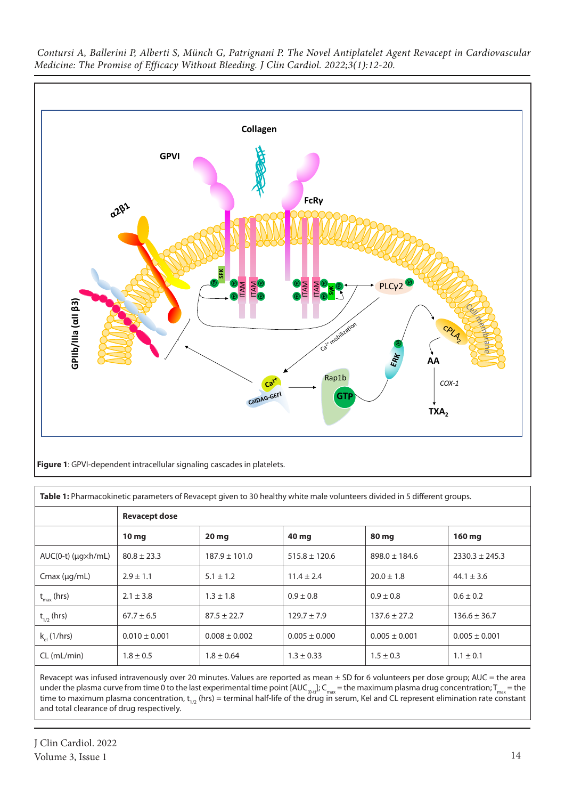

| Table 1: Pharmacokinetic parameters of Revacept given to 30 healthy white male volunteers divided in 5 different groups. |                      |                   |                   |                   |                    |  |  |
|--------------------------------------------------------------------------------------------------------------------------|----------------------|-------------------|-------------------|-------------------|--------------------|--|--|
|                                                                                                                          | <b>Revacept dose</b> |                   |                   |                   |                    |  |  |
|                                                                                                                          | 10 <sub>mg</sub>     | 20 <sub>mg</sub>  | 40 mg             | <b>80 mg</b>      | 160 mg             |  |  |
| $AUC(0-t)$ ( $\mu$ g $\times$ h/mL)                                                                                      | $80.8 \pm 23.3$      | $187.9 \pm 101.0$ | $515.8 \pm 120.6$ | $898.0 \pm 184.6$ | $2330.3 \pm 245.3$ |  |  |
| $Cmax$ ( $\mu q/mL$ )                                                                                                    | $2.9 \pm 1.1$        | $5.1 \pm 1.2$     | $11.4 \pm 2.4$    | $20.0 \pm 1.8$    | $44.1 \pm 3.6$     |  |  |
| $t_{\text{max}}$ (hrs)                                                                                                   | $2.1 \pm 3.8$        | $1.3 \pm 1.8$     | $0.9 \pm 0.8$     | $0.9 \pm 0.8$     | $0.6 \pm 0.2$      |  |  |
| $t_{1/2}$ (hrs)                                                                                                          | $67.7 \pm 6.5$       | $87.5 \pm 22.7$   | $129.7 \pm 7.9$   | $137.6 \pm 27.2$  | $136.6 \pm 36.7$   |  |  |
| $k_{el}$ (1/hrs)                                                                                                         | $0.010 \pm 0.001$    | $0.008 \pm 0.002$ | $0.005 \pm 0.000$ | $0.005 \pm 0.001$ | $0.005 \pm 0.001$  |  |  |
| $CL$ (mL/min)                                                                                                            | $1.8 \pm 0.5$        | $1.8 \pm 0.64$    | $1.3 \pm 0.33$    | $1.5 \pm 0.3$     | $1.1 \pm 0.1$      |  |  |

Revacept was infused intravenously over 20 minutes. Values are reported as mean  $\pm$  SD for 6 volunteers per dose group; AUC = the area under the plasma curve from time 0 to the last experimental time point [AUC<sub>(0-t)</sub>]; C<sub>max</sub> = the maximum plasma drug concentration; T<sub>max</sub> = the time to maximum plasma concentration, t<sub>1/2</sub> (hrs) = terminal half-life of the drug in serum, Kel and CL represent elimination rate constant and total clearance of drug respectively.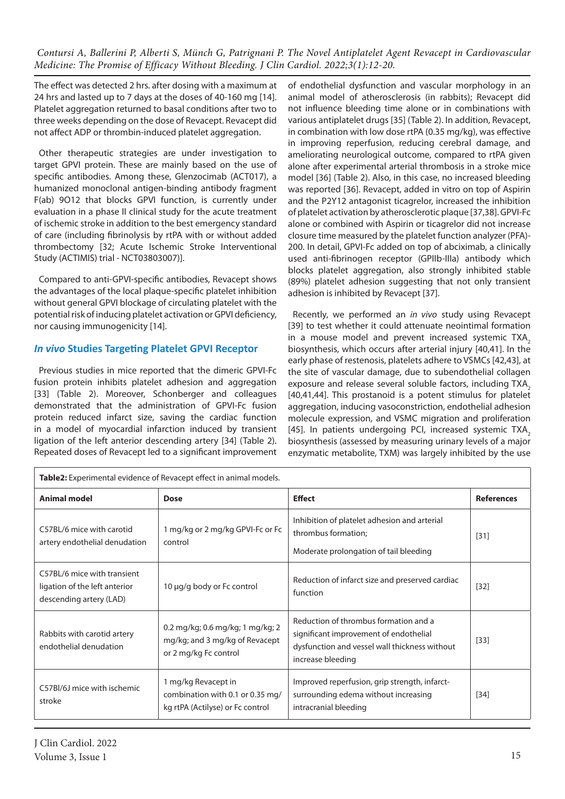The effect was detected 2 hrs. after dosing with a maximum at 24 hrs and lasted up to 7 days at the doses of 40-160 mg [14]. Platelet aggregation returned to basal conditions after two to three weeks depending on the dose of Revacept. Revacept did not affect ADP or thrombin-induced platelet aggregation.

Other therapeutic strategies are under investigation to target GPVI protein. These are mainly based on the use of specific antibodies. Among these, Glenzocimab (ACT017), a humanized monoclonal antigen-binding antibody fragment F(ab) 9O12 that blocks GPVI function, is currently under evaluation in a phase II clinical study for the acute treatment of ischemic stroke in addition to the best emergency standard of care (including fibrinolysis by rtPA with or without added thrombectomy [32; Acute Ischemic Stroke Interventional Study (ACTIMIS) trial - NCT03803007)].

Compared to anti-GPVI-specific antibodies, Revacept shows the advantages of the local plaque-specific platelet inhibition without general GPVI blockage of circulating platelet with the potential risk of inducing platelet activation or GPVI deficiency, nor causing immunogenicity [14].

# *In vivo* **Studies Targeting Platelet GPVI Receptor**

Previous studies in mice reported that the dimeric GPVI-Fc fusion protein inhibits platelet adhesion and aggregation [33] (Table 2). Moreover, Schonberger and colleagues demonstrated that the administration of GPVI-Fc fusion protein reduced infarct size, saving the cardiac function in a model of myocardial infarction induced by transient ligation of the left anterior descending artery [34] (Table 2). Repeated doses of Revacept led to a significant improvement

**Table2:** Experimental evidence of Revacept effect in animal models.

of endothelial dysfunction and vascular morphology in an animal model of atherosclerosis (in rabbits); Revacept did not influence bleeding time alone or in combinations with various antiplatelet drugs [35] (Table 2). In addition, Revacept, in combination with low dose rtPA (0.35 mg/kg), was effective in improving reperfusion, reducing cerebral damage, and ameliorating neurological outcome, compared to rtPA given alone after experimental arterial thrombosis in a stroke mice model [36] (Table 2). Also, in this case, no increased bleeding was reported [36]. Revacept, added in vitro on top of Aspirin and the P2Y12 antagonist ticagrelor, increased the inhibition of platelet activation by atherosclerotic plaque [37,38]. GPVI-Fc alone or combined with Aspirin or ticagrelor did not increase closure time measured by the platelet function analyzer (PFA)- 200. In detail, GPVI-Fc added on top of abciximab, a clinically used anti-fibrinogen receptor (GPIIb-IIIa) antibody which blocks platelet aggregation, also strongly inhibited stable (89%) platelet adhesion suggesting that not only transient adhesion is inhibited by Revacept [37].

Recently, we performed an *in vivo* study using Revacept [39] to test whether it could attenuate neointimal formation in a mouse model and prevent increased systemic TXA<sub>2</sub> biosynthesis, which occurs after arterial injury [40,41]. In the early phase of restenosis, platelets adhere to VSMCs [42,43], at the site of vascular damage, due to subendothelial collagen exposure and release several soluble factors, including TXA. [40,41,44]. This prostanoid is a potent stimulus for platelet aggregation, inducing vasoconstriction, endothelial adhesion molecule expression, and VSMC migration and proliferation [45]. In patients undergoing PCI, increased systemic TXA<sub>2</sub> biosynthesis (assessed by measuring urinary levels of a major enzymatic metabolite, TXM) was largely inhibited by the use

| Tablez: Experimental evidence of Revacept effect in animal models.                      |                                                                                             |                                                                                                                                                       |                   |  |  |  |
|-----------------------------------------------------------------------------------------|---------------------------------------------------------------------------------------------|-------------------------------------------------------------------------------------------------------------------------------------------------------|-------------------|--|--|--|
| <b>Animal model</b>                                                                     | <b>Dose</b>                                                                                 | <b>Effect</b>                                                                                                                                         | <b>References</b> |  |  |  |
| C57BL/6 mice with carotid<br>artery endothelial denudation                              | 1 mg/kg or 2 mg/kg GPVI-Fc or Fc<br>control                                                 | Inhibition of platelet adhesion and arterial<br>thrombus formation;<br>Moderate prolongation of tail bleeding                                         | $[31]$            |  |  |  |
| C57BL/6 mice with transient<br>ligation of the left anterior<br>descending artery (LAD) | 10 µg/g body or Fc control                                                                  | Reduction of infarct size and preserved cardiac<br>function                                                                                           | $[32]$            |  |  |  |
| Rabbits with carotid artery<br>endothelial denudation                                   | 0.2 mg/kg; 0.6 mg/kg; 1 mg/kg; 2<br>mg/kg; and 3 mg/kg of Revacept<br>or 2 mg/kg Fc control | Reduction of thrombus formation and a<br>significant improvement of endothelial<br>dysfunction and vessel wall thickness without<br>increase bleeding | $[33]$            |  |  |  |
| C57BI/6J mice with ischemic<br>stroke                                                   | 1 mg/kg Revacept in<br>combination with 0.1 or 0.35 mg/<br>kg rtPA (Actilyse) or Fc control | Improved reperfusion, grip strength, infarct-<br>surrounding edema without increasing<br>intracranial bleeding                                        | $[34]$            |  |  |  |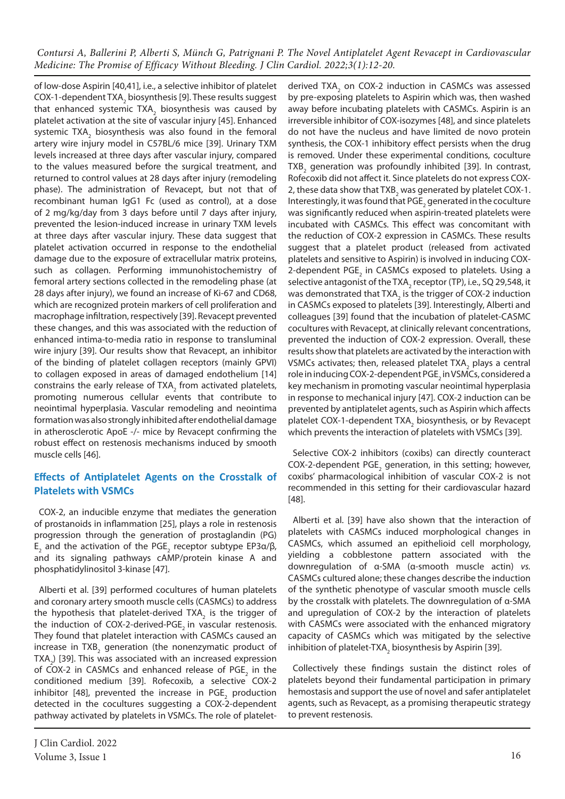of low-dose Aspirin [40,41], i.e., a selective inhibitor of platelet COX-1-dependent TXA<sub>2</sub> biosynthesis [9]. These results suggest that enhanced systemic TXA<sub>2</sub> biosynthesis was caused by platelet activation at the site of vascular injury [45]. Enhanced systemic TXA<sub>2</sub> biosynthesis was also found in the femoral artery wire injury model in C57BL/6 mice [39]. Urinary TXM levels increased at three days after vascular injury, compared to the values measured before the surgical treatment, and returned to control values at 28 days after injury (remodeling phase). The administration of Revacept, but not that of recombinant human IgG1 Fc (used as control), at a dose of 2 mg/kg/day from 3 days before until 7 days after injury, prevented the lesion-induced increase in urinary TXM levels at three days after vascular injury. These data suggest that platelet activation occurred in response to the endothelial damage due to the exposure of extracellular matrix proteins, such as collagen. Performing immunohistochemistry of femoral artery sections collected in the remodeling phase (at 28 days after injury), we found an increase of Ki-67 and CD68, which are recognized protein markers of cell proliferation and macrophage infiltration, respectively [39]. Revacept prevented these changes, and this was associated with the reduction of enhanced intima-to-media ratio in response to transluminal wire injury [39]. Our results show that Revacept, an inhibitor of the binding of platelet collagen receptors (mainly GPVI) to collagen exposed in areas of damaged endothelium [14] constrains the early release of TXA<sub>2</sub> from activated platelets, promoting numerous cellular events that contribute to neointimal hyperplasia. Vascular remodeling and neointima formation was also strongly inhibited after endothelial damage in atherosclerotic ApoE -/- mice by Revacept confirming the robust effect on restenosis mechanisms induced by smooth muscle cells [46].

## **Effects of Antiplatelet Agents on the Crosstalk of Platelets with VSMCs**

COX-2, an inducible enzyme that mediates the generation of prostanoids in inflammation [25], plays a role in restenosis progression through the generation of prostaglandin (PG)  $E_2$  and the activation of the PGE<sub>2</sub> receptor subtype EP3α/β, and its signaling pathways cAMP/protein kinase A and phosphatidylinositol 3-kinase [47].

Alberti et al. [39] performed cocultures of human platelets and coronary artery smooth muscle cells (CASMCs) to address the hypothesis that platelet-derived TXA $_{_2}$  is the trigger of the induction of COX-2-derived-PGE<sub>2</sub> in vascular restenosis. They found that platelet interaction with CASMCs caused an increase in TXB<sub>2</sub> generation (the nonenzymatic product of TXA<sub>2</sub>) [39]. This was associated with an increased expression of COX-2 in CASMCs and enhanced release of PGE<sub>2</sub> in the conditioned medium [39]. Rofecoxib, a selective COX-2 inhibitor [48], prevented the increase in  $PGE_{2}$  production detected in the cocultures suggesting a COX-2-dependent pathway activated by platelets in VSMCs. The role of plateletderived TXA<sub>2</sub> on COX-2 induction in CASMCs was assessed by pre-exposing platelets to Aspirin which was, then washed away before incubating platelets with CASMCs. Aspirin is an irreversible inhibitor of COX-isozymes [48], and since platelets do not have the nucleus and have limited de novo protein synthesis, the COX-1 inhibitory effect persists when the drug is removed. Under these experimental conditions, coculture TXB<sub>2</sub> generation was profoundly inhibited [39]. In contrast, Rofecoxib did not affect it. Since platelets do not express COX-2, these data show that TXB<sub>2</sub> was generated by platelet COX-1. Interestingly, it was found that PGE<sub>2</sub> generated in the coculture was significantly reduced when aspirin-treated platelets were incubated with CASMCs. This effect was concomitant with the reduction of COX-2 expression in CASMCs. These results suggest that a platelet product (released from activated platelets and sensitive to Aspirin) is involved in inducing COX-2-dependent  $\mathsf{PGE}_2$  in CASMCs exposed to platelets. Using a selective antagonist of the TXA<sub>2</sub> receptor (TP), i.e., SQ 29,548, it was demonstrated that TXA<sub>2</sub> is the trigger of COX-2 induction in CASMCs exposed to platelets [39]. Interestingly, Alberti and colleagues [39] found that the incubation of platelet-CASMC cocultures with Revacept, at clinically relevant concentrations, prevented the induction of COX-2 expression. Overall, these results show that platelets are activated by the interaction with VSMCs activates; then, released platelet TXA<sub>2</sub> plays a central role in inducing COX-2-dependent PGE $_2$  in VSMCs, considered a key mechanism in promoting vascular neointimal hyperplasia in response to mechanical injury [47]. COX-2 induction can be prevented by antiplatelet agents, such as Aspirin which affects platelet COX-1-dependent TXA<sub>2</sub> biosynthesis, or by Revacept which prevents the interaction of platelets with VSMCs [39].

Selective COX-2 inhibitors (coxibs) can directly counteract  $COX$ -2-dependent  $PGE_{2}$  generation, in this setting; however, coxibs' pharmacological inhibition of vascular COX-2 is not recommended in this setting for their cardiovascular hazard [48].

Alberti et al. [39] have also shown that the interaction of platelets with CASMCs induced morphological changes in CASMCs, which assumed an epithelioid cell morphology, yielding a cobblestone pattern associated with the downregulation of α-SMA (α-smooth muscle actin) *vs.* CASMCs cultured alone; these changes describe the induction of the synthetic phenotype of vascular smooth muscle cells by the crosstalk with platelets. The downregulation of α-SMA and upregulation of COX-2 by the interaction of platelets with CASMCs were associated with the enhanced migratory capacity of CASMCs which was mitigated by the selective inhibition of platelet-TXA<sub>2</sub> biosynthesis by Aspirin [39].

Collectively these findings sustain the distinct roles of platelets beyond their fundamental participation in primary hemostasis and support the use of novel and safer antiplatelet agents, such as Revacept, as a promising therapeutic strategy to prevent restenosis.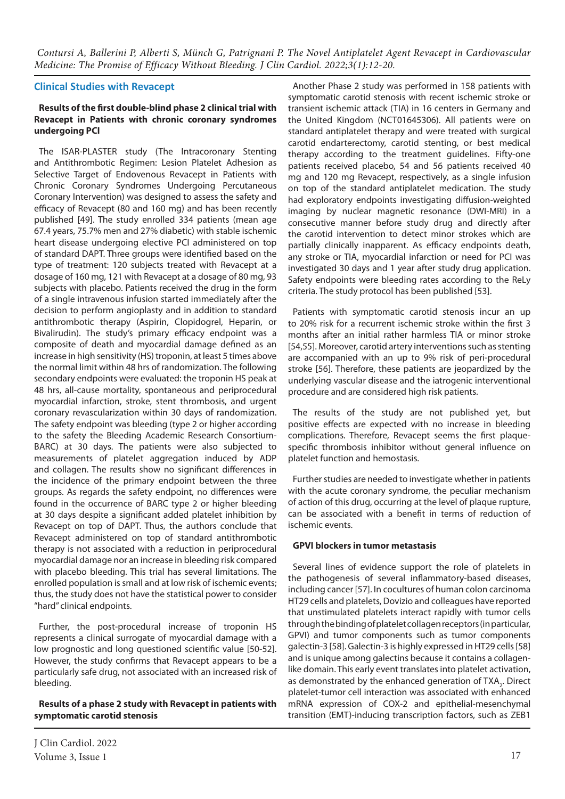#### **Clinical Studies with Revacept**

#### **Results of the first double-blind phase 2 clinical trial with Revacept in Patients with chronic coronary syndromes undergoing PCI**

The ISAR-PLASTER study (The Intracoronary Stenting and Antithrombotic Regimen: Lesion Platelet Adhesion as Selective Target of Endovenous Revacept in Patients with Chronic Coronary Syndromes Undergoing Percutaneous Coronary Intervention) was designed to assess the safety and efficacy of Revacept (80 and 160 mg) and has been recently published [49]. The study enrolled 334 patients (mean age 67.4 years, 75.7% men and 27% diabetic) with stable ischemic heart disease undergoing elective PCI administered on top of standard DAPT. Three groups were identified based on the type of treatment: 120 subjects treated with Revacept at a dosage of 160 mg, 121 with Revacept at a dosage of 80 mg, 93 subjects with placebo. Patients received the drug in the form of a single intravenous infusion started immediately after the decision to perform angioplasty and in addition to standard antithrombotic therapy (Aspirin, Clopidogrel, Heparin, or Bivalirudin). The study's primary efficacy endpoint was a composite of death and myocardial damage defined as an increase in high sensitivity (HS) troponin, at least 5 times above the normal limit within 48 hrs of randomization. The following secondary endpoints were evaluated: the troponin HS peak at 48 hrs, all-cause mortality, spontaneous and periprocedural myocardial infarction, stroke, stent thrombosis, and urgent coronary revascularization within 30 days of randomization. The safety endpoint was bleeding (type 2 or higher according to the safety the Bleeding Academic Research Consortium-BARC) at 30 days. The patients were also subjected to measurements of platelet aggregation induced by ADP and collagen. The results show no significant differences in the incidence of the primary endpoint between the three groups. As regards the safety endpoint, no differences were found in the occurrence of BARC type 2 or higher bleeding at 30 days despite a significant added platelet inhibition by Revacept on top of DAPT. Thus, the authors conclude that Revacept administered on top of standard antithrombotic therapy is not associated with a reduction in periprocedural myocardial damage nor an increase in bleeding risk compared with placebo bleeding. This trial has several limitations. The enrolled population is small and at low risk of ischemic events; thus, the study does not have the statistical power to consider "hard" clinical endpoints.

Further, the post-procedural increase of troponin HS represents a clinical surrogate of myocardial damage with a low prognostic and long questioned scientific value [50-52]. However, the study confirms that Revacept appears to be a particularly safe drug, not associated with an increased risk of bleeding.

#### **Results of a phase 2 study with Revacept in patients with symptomatic carotid stenosis**

J Clin Cardiol. 2022 Volume 3, Issue 1  $17$ 

Another Phase 2 study was performed in 158 patients with symptomatic carotid stenosis with recent ischemic stroke or transient ischemic attack (TIA) in 16 centers in Germany and the United Kingdom (NCT01645306). All patients were on standard antiplatelet therapy and were treated with surgical carotid endarterectomy, carotid stenting, or best medical therapy according to the treatment guidelines. Fifty-one patients received placebo, 54 and 56 patients received 40 mg and 120 mg Revacept, respectively, as a single infusion on top of the standard antiplatelet medication. The study had exploratory endpoints investigating diffusion-weighted imaging by nuclear magnetic resonance (DWI-MRI) in a consecutive manner before study drug and directly after the carotid intervention to detect minor strokes which are partially clinically inapparent. As efficacy endpoints death, any stroke or TIA, myocardial infarction or need for PCI was investigated 30 days and 1 year after study drug application. Safety endpoints were bleeding rates according to the ReLy criteria. The study protocol has been published [53].

Patients with symptomatic carotid stenosis incur an up to 20% risk for a recurrent ischemic stroke within the first 3 months after an initial rather harmless TIA or minor stroke [54,55]. Moreover, carotid artery interventions such as stenting are accompanied with an up to 9% risk of peri-procedural stroke [56]. Therefore, these patients are jeopardized by the underlying vascular disease and the iatrogenic interventional procedure and are considered high risk patients.

The results of the study are not published yet, but positive effects are expected with no increase in bleeding complications. Therefore, Revacept seems the first plaquespecific thrombosis inhibitor without general influence on platelet function and hemostasis.

Further studies are needed to investigate whether in patients with the acute coronary syndrome, the peculiar mechanism of action of this drug, occurring at the level of plaque rupture, can be associated with a benefit in terms of reduction of ischemic events.

#### **GPVI blockers in tumor metastasis**

Several lines of evidence support the role of platelets in the pathogenesis of several inflammatory-based diseases, including cancer [57]. In cocultures of human colon carcinoma HT29 cells and platelets, Dovizio and colleagues have reported that unstimulated platelets interact rapidly with tumor cells through the binding of platelet collagen receptors (in particular, GPVI) and tumor components such as tumor components galectin-3 [58]. Galectin-3 is highly expressed in HT29 cells [58] and is unique among galectins because it contains a collagenlike domain. This early event translates into platelet activation, as demonstrated by the enhanced generation of  $TXA<sub>2</sub>$ . Direct platelet-tumor cell interaction was associated with enhanced mRNA expression of COX-2 and epithelial-mesenchymal transition (EMT)-inducing transcription factors, such as ZEB1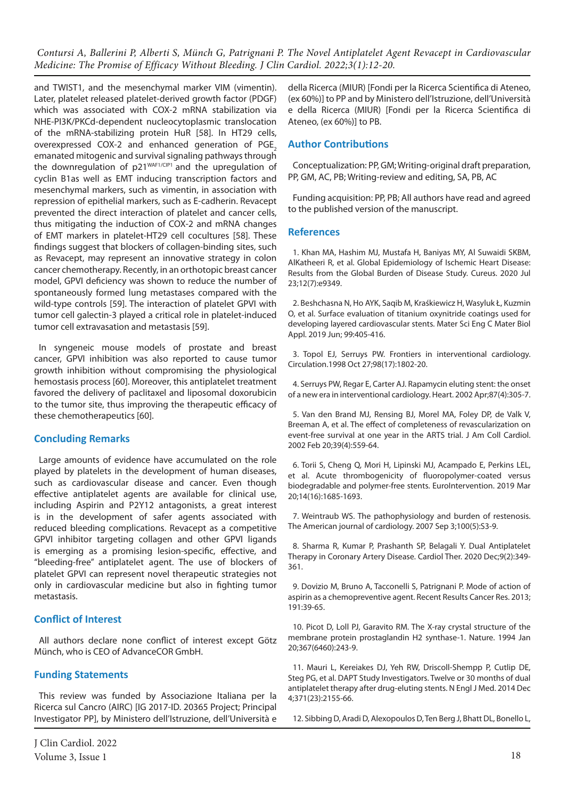and TWIST1, and the mesenchymal marker VIM (vimentin). Later, platelet released platelet-derived growth factor (PDGF) which was associated with COX-2 mRNA stabilization via NHE-PI3K/PKCd-dependent nucleocytoplasmic translocation of the mRNA-stabilizing protein HuR [58]. In HT29 cells, overexpressed COX-2 and enhanced generation of PGE<sub>2</sub> emanated mitogenic and survival signaling pathways through the downregulation of p21WAF1/CIP1 and the upregulation of cyclin B1as well as EMT inducing transcription factors and mesenchymal markers, such as vimentin, in association with repression of epithelial markers, such as E-cadherin. Revacept prevented the direct interaction of platelet and cancer cells, thus mitigating the induction of COX-2 and mRNA changes of EMT markers in platelet-HT29 cell cocultures [58]. These findings suggest that blockers of collagen-binding sites, such as Revacept, may represent an innovative strategy in colon cancer chemotherapy. Recently, in an orthotopic breast cancer model, GPVI deficiency was shown to reduce the number of spontaneously formed lung metastases compared with the wild-type controls [59]. The interaction of platelet GPVI with tumor cell galectin-3 played a critical role in platelet-induced tumor cell extravasation and metastasis [59].

In syngeneic mouse models of prostate and breast cancer, GPVI inhibition was also reported to cause tumor growth inhibition without compromising the physiological hemostasis process [60]. Moreover, this antiplatelet treatment favored the delivery of paclitaxel and liposomal doxorubicin to the tumor site, thus improving the therapeutic efficacy of these chemotherapeutics [60].

#### **Concluding Remarks**

Large amounts of evidence have accumulated on the role played by platelets in the development of human diseases, such as cardiovascular disease and cancer. Even though effective antiplatelet agents are available for clinical use, including Aspirin and P2Y12 antagonists, a great interest is in the development of safer agents associated with reduced bleeding complications. Revacept as a competitive GPVI inhibitor targeting collagen and other GPVI ligands is emerging as a promising lesion-specific, effective, and "bleeding-free" antiplatelet agent. The use of blockers of platelet GPVI can represent novel therapeutic strategies not only in cardiovascular medicine but also in fighting tumor metastasis.

## **Conflict of Interest**

All authors declare none conflict of interest except Götz Münch, who is CEO of AdvanceCOR GmbH.

## **Funding Statements**

This review was funded by Associazione Italiana per la Ricerca sul Cancro (AIRC) [IG 2017-ID. 20365 Project; Principal Investigator PP], by Ministero dell'Istruzione, dell'Università e

della Ricerca (MIUR) [Fondi per la Ricerca Scientifica di Ateneo, (ex 60%)] to PP and by Ministero dell'Istruzione, dell'Università e della Ricerca (MIUR) [Fondi per la Ricerca Scientifica di Ateneo, (ex 60%)] to PB.

## **Author Contributions**

Conceptualization: PP, GM; Writing-original draft preparation, PP, GM, AC, PB; Writing-review and editing, SA, PB, AC

Funding acquisition: PP, PB; All authors have read and agreed to the published version of the manuscript.

### **References**

1. Khan MA, Hashim MJ, Mustafa H, Baniyas MY, Al Suwaidi SKBM, AlKatheeri R, et al. Global Epidemiology of Ischemic Heart Disease: Results from the Global Burden of Disease Study. Cureus. 2020 Jul 23;12(7):e9349.

2. Beshchasna N, Ho AYK, Saqib M, Kraśkiewicz H, Wasyluk Ł, Kuzmin O, et al. Surface evaluation of titanium oxynitride coatings used for developing layered cardiovascular stents. Mater Sci Eng C Mater Biol Appl. 2019 Jun; 99:405-416.

3. Topol EJ, Serruys PW. Frontiers in interventional cardiology. Circulation.1998 Oct 27;98(17):1802-20.

4. Serruys PW, Regar E, Carter AJ. Rapamycin eluting stent: the onset of a new era in interventional cardiology. Heart. 2002 Apr;87(4):305-7.

5. Van den Brand MJ, Rensing BJ, Morel MA, Foley DP, de Valk V, Breeman A, et al. The effect of completeness of revascularization on event-free survival at one year in the ARTS trial. J Am Coll Cardiol. 2002 Feb 20;39(4):559-64.

6. Torii S, Cheng Q, Mori H, Lipinski MJ, Acampado E, Perkins LEL, et al. Acute thrombogenicity of fluoropolymer-coated versus biodegradable and polymer-free stents. EuroIntervention. 2019 Mar 20;14(16):1685-1693.

7. Weintraub WS. The pathophysiology and burden of restenosis. The American journal of cardiology. 2007 Sep 3;100(5):S3-9.

8. Sharma R, Kumar P, Prashanth SP, Belagali Y. Dual Antiplatelet Therapy in Coronary Artery Disease. Cardiol Ther. 2020 Dec;9(2):349- 361.

9. Dovizio M, Bruno A, Tacconelli S, Patrignani P. Mode of action of aspirin as a chemopreventive agent. Recent Results Cancer Res. 2013; 191:39-65.

10. Picot D, Loll PJ, Garavito RM. The X-ray crystal structure of the membrane protein prostaglandin H2 synthase-1. Nature. 1994 Jan 20;367(6460):243-9.

11. Mauri L, Kereiakes DJ, Yeh RW, Driscoll-Shempp P, Cutlip DE, Steg PG, et al. DAPT Study Investigators. Twelve or 30 months of dual antiplatelet therapy after drug-eluting stents. N Engl J Med. 2014 Dec 4;371(23):2155-66.

12. Sibbing D, Aradi D, Alexopoulos D, Ten Berg J, Bhatt DL, Bonello L,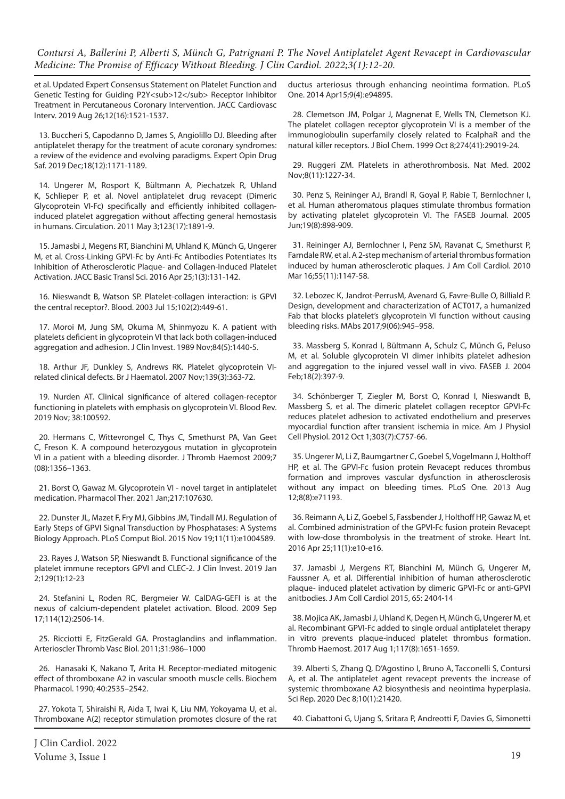et al. Updated Expert Consensus Statement on Platelet Function and Genetic Testing for Guiding P2Y<sub>12</sub>Receptor Inhibitor Treatment in Percutaneous Coronary Intervention. JACC Cardiovasc Interv. 2019 Aug 26;12(16):1521-1537.

13. Buccheri S, Capodanno D, James S, Angiolillo DJ. Bleeding after antiplatelet therapy for the treatment of acute coronary syndromes: a review of the evidence and evolving paradigms. Expert Opin Drug Saf. 2019 Dec;18(12):1171-1189.

14. Ungerer M, Rosport K, Bültmann A, Piechatzek R, Uhland K, Schlieper P, et al. Novel antiplatelet drug revacept (Dimeric Glycoprotein VI-Fc) specifically and efficiently inhibited collageninduced platelet aggregation without affecting general hemostasis in humans. Circulation. 2011 May 3;123(17):1891-9.

15. Jamasbi J, Megens RT, Bianchini M, Uhland K, Münch G, Ungerer M, et al. Cross-Linking GPVI-Fc by Anti-Fc Antibodies Potentiates Its Inhibition of Atherosclerotic Plaque- and Collagen-Induced Platelet Activation. JACC Basic Transl Sci. 2016 Apr 25;1(3):131-142.

16. Nieswandt B, Watson SP. Platelet-collagen interaction: is GPVI the central receptor?. Blood. 2003 Jul 15;102(2):449-61.

17. Moroi M, Jung SM, Okuma M, Shinmyozu K. A patient with platelets deficient in glycoprotein VI that lack both collagen-induced aggregation and adhesion. J Clin Invest. 1989 Nov;84(5):1440-5.

18. Arthur JF, Dunkley S, Andrews RK. Platelet glycoprotein VIrelated clinical defects. Br J Haematol. 2007 Nov;139(3):363-72.

19. Nurden AT. Clinical significance of altered collagen-receptor functioning in platelets with emphasis on glycoprotein VI. Blood Rev. 2019 Nov; 38:100592.

20. Hermans C, Wittevrongel C, Thys C, Smethurst PA, Van Geet C, Freson K. A compound heterozygous mutation in glycoprotein VI in a patient with a bleeding disorder. J Thromb Haemost 2009;7 (08):1356–1363.

21. Borst O, Gawaz M. Glycoprotein VI - novel target in antiplatelet medication. Pharmacol Ther. 2021 Jan;217:107630.

22. Dunster JL, Mazet F, Fry MJ, Gibbins JM, Tindall MJ. Regulation of Early Steps of GPVI Signal Transduction by Phosphatases: A Systems Biology Approach. PLoS Comput Biol. 2015 Nov 19;11(11):e1004589.

23. Rayes J, Watson SP, Nieswandt B. Functional significance of the platelet immune receptors GPVI and CLEC-2. J Clin Invest. 2019 Jan 2;129(1):12-23

24. Stefanini L, Roden RC, Bergmeier W. CalDAG-GEFI is at the nexus of calcium-dependent platelet activation. Blood. 2009 Sep 17;114(12):2506-14.

25. Ricciotti E, FitzGerald GA. Prostaglandins and inflammation. Arterioscler Thromb Vasc Biol. 2011;31:986–1000

26. Hanasaki K, Nakano T, Arita H. Receptor-mediated mitogenic effect of thromboxane A2 in vascular smooth muscle cells. Biochem Pharmacol. 1990; 40:2535–2542.

27. Yokota T, Shiraishi R, Aida T, Iwai K, Liu NM, Yokoyama U, et al. Thromboxane A(2) receptor stimulation promotes closure of the rat

ductus arteriosus through enhancing neointima formation. PLoS One. 2014 Apr15;9(4):e94895.

28. Clemetson JM, Polgar J, Magnenat E, Wells TN, Clemetson KJ. The platelet collagen receptor glycoprotein VI is a member of the immunoglobulin superfamily closely related to FcalphaR and the natural killer receptors. J Biol Chem. 1999 Oct 8;274(41):29019-24.

29. Ruggeri ZM. Platelets in atherothrombosis. Nat Med. 2002 Nov;8(11):1227-34.

30. Penz S, Reininger AJ, Brandl R, Goyal P, Rabie T, Bernlochner I, et al. Human atheromatous plaques stimulate thrombus formation by activating platelet glycoprotein VI. The FASEB Journal. 2005 Jun;19(8):898-909.

31. Reininger AJ, Bernlochner I, Penz SM, Ravanat C, Smethurst P, Farndale RW, et al. A 2-step mechanism of arterial thrombus formation induced by human atherosclerotic plaques. J Am Coll Cardiol. 2010 Mar 16;55(11):1147-58.

32. Lebozec K, Jandrot-PerrusM, Avenard G, Favre-Bulle O, Billiald P. Design, development and characterization of ACT017, a humanized Fab that blocks platelet's glycoprotein VI function without causing bleeding risks. MAbs 2017;9(06):945–958.

33. Massberg S, Konrad I, Bültmann A, Schulz C, Münch G, Peluso M, et al. Soluble glycoprotein VI dimer inhibits platelet adhesion and aggregation to the injured vessel wall in vivo. FASEB J. 2004 Feb;18(2):397-9.

34. Schönberger T, Ziegler M, Borst O, Konrad I, Nieswandt B, Massberg S, et al. The dimeric platelet collagen receptor GPVI-Fc reduces platelet adhesion to activated endothelium and preserves myocardial function after transient ischemia in mice. Am J Physiol Cell Physiol. 2012 Oct 1;303(7):C757-66.

35. Ungerer M, Li Z, Baumgartner C, Goebel S, Vogelmann J, Holthoff HP, et al. The GPVI-Fc fusion protein Revacept reduces thrombus formation and improves vascular dysfunction in atherosclerosis without any impact on bleeding times. PLoS One. 2013 Aug 12;8(8):e71193.

36. Reimann A, Li Z, Goebel S, Fassbender J, Holthoff HP, Gawaz M, et al. Combined administration of the GPVI-Fc fusion protein Revacept with low-dose thrombolysis in the treatment of stroke. Heart Int. 2016 Apr 25;11(1):e10-e16.

37. Jamasbi J, Mergens RT, Bianchini M, Münch G, Ungerer M, Faussner A, et al. Differential inhibition of human atherosclerotic plaque- induced platelet activation by dimeric GPVI-Fc or anti-GPVI anitbodies. J Am Coll Cardiol 2015, 65: 2404-14

38. Mojica AK, Jamasbi J, Uhland K, Degen H, Münch G, Ungerer M, et al. Recombinant GPVI-Fc added to single ordual antiplatelet therapy in vitro prevents plaque-induced platelet thrombus formation. Thromb Haemost. 2017 Aug 1;117(8):1651-1659.

39. Alberti S, Zhang Q, D'Agostino I, Bruno A, Tacconelli S, Contursi A, et al. The antiplatelet agent revacept prevents the increase of systemic thromboxane A2 biosynthesis and neointima hyperplasia. Sci Rep. 2020 Dec 8;10(1):21420.

40. Ciabattoni G, Ujang S, Sritara P, Andreotti F, Davies G, Simonetti